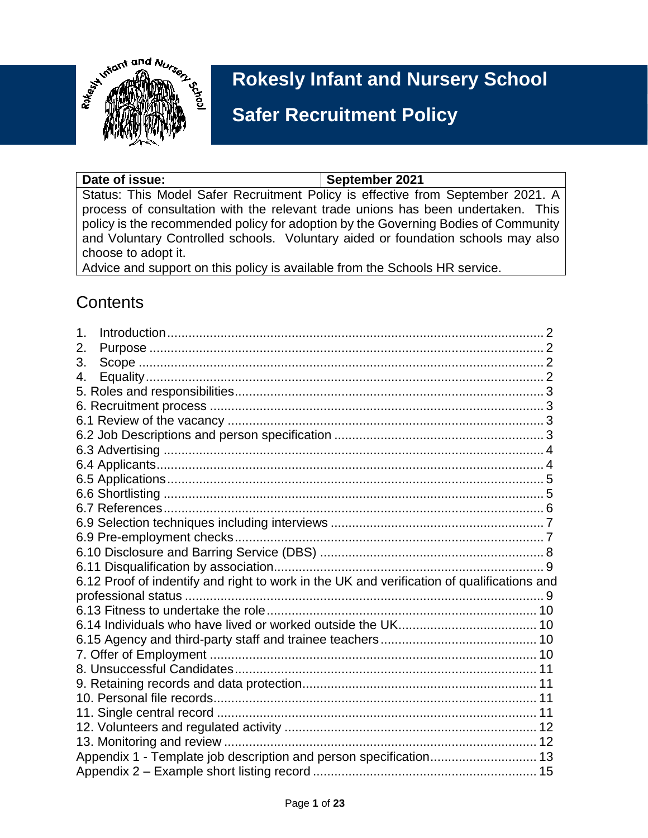

# **Rokesly Infant and Nursery School**

# **Safer Recruitment Policy**

Date of issue: **September** 2021 Status: This Model Safer Recruitment Policy is effective from September 2021. A process of consultation with the relevant trade unions has been undertaken. This policy is the recommended policy for adoption by the Governing Bodies of Community and Voluntary Controlled schools. Voluntary aided or foundation schools may also choose to adopt it.

**and Procedures**

Advice and support on this policy is available from the Schools HR service.

## **Contents**

| 1. |                                                                                            |  |
|----|--------------------------------------------------------------------------------------------|--|
| 2. |                                                                                            |  |
| 3. |                                                                                            |  |
| 4. |                                                                                            |  |
|    |                                                                                            |  |
|    |                                                                                            |  |
|    |                                                                                            |  |
|    |                                                                                            |  |
|    |                                                                                            |  |
|    |                                                                                            |  |
|    |                                                                                            |  |
|    |                                                                                            |  |
|    |                                                                                            |  |
|    |                                                                                            |  |
|    |                                                                                            |  |
|    |                                                                                            |  |
|    |                                                                                            |  |
|    | 6.12 Proof of indentify and right to work in the UK and verification of qualifications and |  |
|    |                                                                                            |  |
|    |                                                                                            |  |
|    |                                                                                            |  |
|    |                                                                                            |  |
|    |                                                                                            |  |
|    |                                                                                            |  |
|    |                                                                                            |  |
|    |                                                                                            |  |
|    |                                                                                            |  |
|    |                                                                                            |  |
|    |                                                                                            |  |
|    | Appendix 1 - Template job description and person specification 13                          |  |
|    |                                                                                            |  |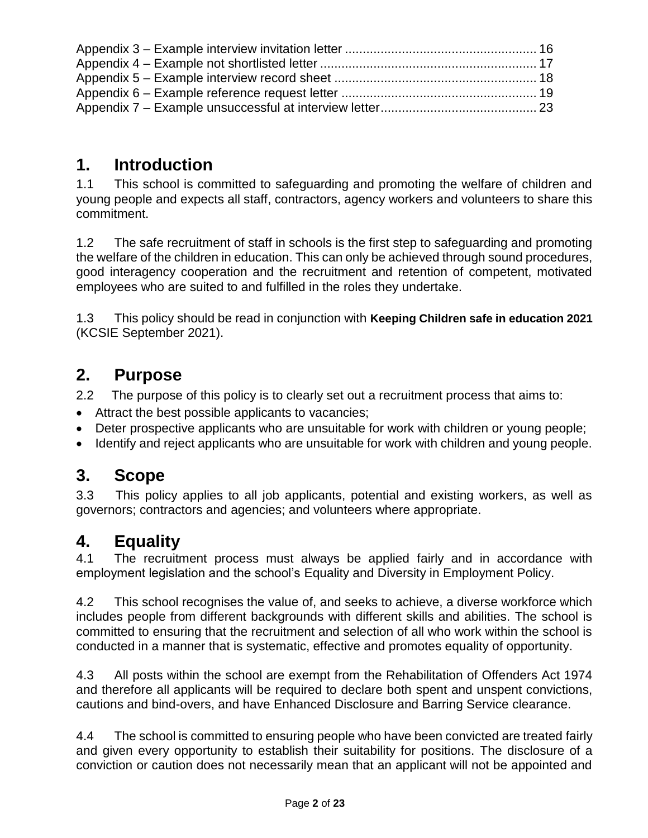## <span id="page-1-0"></span>**1. Introduction**

1.1 This school is committed to safeguarding and promoting the welfare of children and young people and expects all staff, contractors, agency workers and volunteers to share this commitment.

1.2 The safe recruitment of staff in schools is the first step to safeguarding and promoting the welfare of the children in education. This can only be achieved through sound procedures, good interagency cooperation and the recruitment and retention of competent, motivated employees who are suited to and fulfilled in the roles they undertake.

1.3 This policy should be read in conjunction with **Keeping Children safe in education 2021**  (KCSIE September 2021).

## <span id="page-1-1"></span>**2. Purpose**

2.2 The purpose of this policy is to clearly set out a recruitment process that aims to:

- Attract the best possible applicants to vacancies;
- Deter prospective applicants who are unsuitable for work with children or young people;
- Identify and reject applicants who are unsuitable for work with children and young people.

## <span id="page-1-2"></span>**3. Scope**

3.3 This policy applies to all job applicants, potential and existing workers, as well as governors; contractors and agencies; and volunteers where appropriate.

## <span id="page-1-3"></span>**4. Equality**

4.1 The recruitment process must always be applied fairly and in accordance with employment legislation and the school's Equality and Diversity in Employment Policy.

4.2 This school recognises the value of, and seeks to achieve, a diverse workforce which includes people from different backgrounds with different skills and abilities. The school is committed to ensuring that the recruitment and selection of all who work within the school is conducted in a manner that is systematic, effective and promotes equality of opportunity.

4.3 All posts within the school are exempt from the Rehabilitation of Offenders Act 1974 and therefore all applicants will be required to declare both spent and unspent convictions, cautions and bind-overs, and have Enhanced Disclosure and Barring Service clearance.

4.4 The school is committed to ensuring people who have been convicted are treated fairly and given every opportunity to establish their suitability for positions. The disclosure of a conviction or caution does not necessarily mean that an applicant will not be appointed and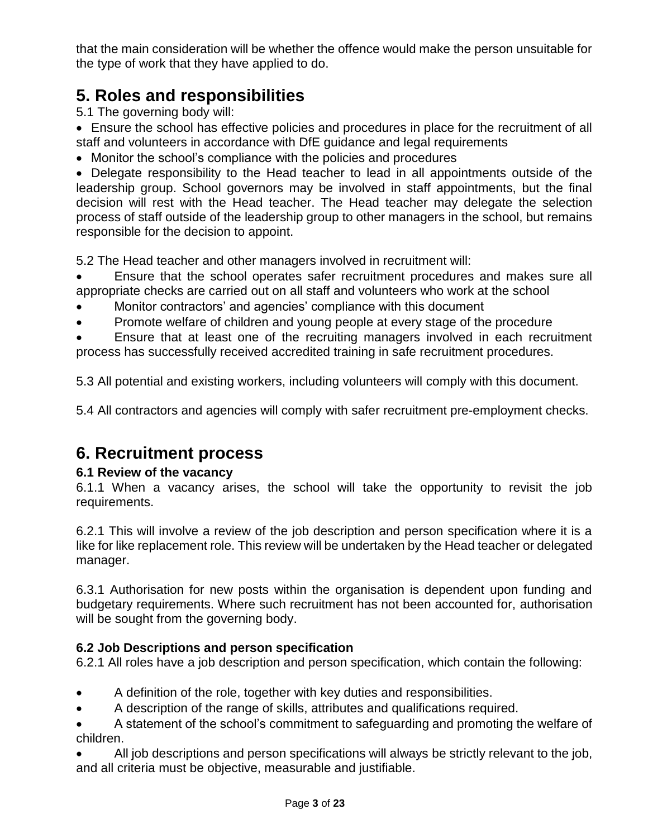that the main consideration will be whether the offence would make the person unsuitable for the type of work that they have applied to do.

## <span id="page-2-0"></span>**5. Roles and responsibilities**

5.1 The governing body will:

 Ensure the school has effective policies and procedures in place for the recruitment of all staff and volunteers in accordance with DfE guidance and legal requirements

Monitor the school's compliance with the policies and procedures

 Delegate responsibility to the Head teacher to lead in all appointments outside of the leadership group. School governors may be involved in staff appointments, but the final decision will rest with the Head teacher. The Head teacher may delegate the selection process of staff outside of the leadership group to other managers in the school, but remains responsible for the decision to appoint.

5.2 The Head teacher and other managers involved in recruitment will:

 Ensure that the school operates safer recruitment procedures and makes sure all appropriate checks are carried out on all staff and volunteers who work at the school

- Monitor contractors' and agencies' compliance with this document
- Promote welfare of children and young people at every stage of the procedure

 Ensure that at least one of the recruiting managers involved in each recruitment process has successfully received accredited training in safe recruitment procedures.

5.3 All potential and existing workers, including volunteers will comply with this document.

<span id="page-2-1"></span>5.4 All contractors and agencies will comply with safer recruitment pre-employment checks.

### **6. Recruitment process**

#### <span id="page-2-2"></span>**6.1 Review of the vacancy**

6.1.1 When a vacancy arises, the school will take the opportunity to revisit the job requirements.

6.2.1 This will involve a review of the job description and person specification where it is a like for like replacement role. This review will be undertaken by the Head teacher or delegated manager.

6.3.1 Authorisation for new posts within the organisation is dependent upon funding and budgetary requirements. Where such recruitment has not been accounted for, authorisation will be sought from the governing body.

#### <span id="page-2-3"></span>**6.2 Job Descriptions and person specification**

6.2.1 All roles have a job description and person specification, which contain the following:

- A definition of the role, together with key duties and responsibilities.
- A description of the range of skills, attributes and qualifications required.
- A statement of the school's commitment to safeguarding and promoting the welfare of children.
- All job descriptions and person specifications will always be strictly relevant to the job, and all criteria must be objective, measurable and justifiable.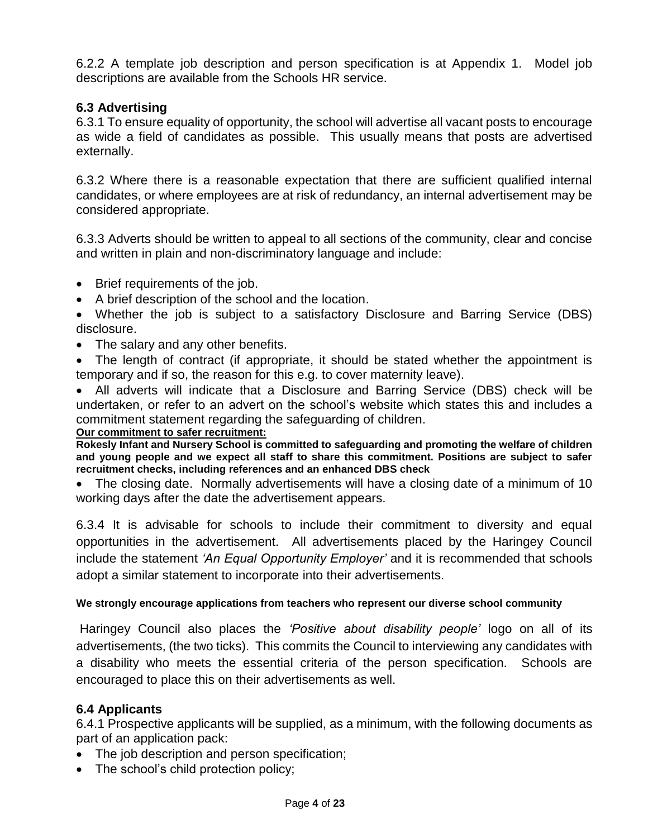6.2.2 A template job description and person specification is at Appendix 1. Model job descriptions are available from the Schools HR service.

#### <span id="page-3-0"></span>**6.3 Advertising**

6.3.1 To ensure equality of opportunity, the school will advertise all vacant posts to encourage as wide a field of candidates as possible. This usually means that posts are advertised externally.

6.3.2 Where there is a reasonable expectation that there are sufficient qualified internal candidates, or where employees are at risk of redundancy, an internal advertisement may be considered appropriate.

6.3.3 Adverts should be written to appeal to all sections of the community, clear and concise and written in plain and non-discriminatory language and include:

- Brief requirements of the job.
- A brief description of the school and the location.
- Whether the job is subject to a satisfactory Disclosure and Barring Service (DBS) disclosure.
- The salary and any other benefits.
- The length of contract (if appropriate, it should be stated whether the appointment is temporary and if so, the reason for this e.g. to cover maternity leave).

 All adverts will indicate that a Disclosure and Barring Service (DBS) check will be undertaken, or refer to an advert on the school's website which states this and includes a commitment statement regarding the safeguarding of children.

#### **Our commitment to safer recruitment:**

**Rokesly Infant and Nursery School is committed to safeguarding and promoting the welfare of children and young people and we expect all staff to share this commitment. Positions are subject to safer recruitment checks, including references and an enhanced DBS check**

 The closing date. Normally advertisements will have a closing date of a minimum of 10 working days after the date the advertisement appears.

6.3.4 It is advisable for schools to include their commitment to diversity and equal opportunities in the advertisement. All advertisements placed by the Haringey Council include the statement *'An Equal Opportunity Employer'* and it is recommended that schools adopt a similar statement to incorporate into their advertisements.

#### **We strongly encourage applications from teachers who represent our diverse school community**

Haringey Council also places the *'Positive about disability people'* logo on all of its advertisements, (the two ticks). This commits the Council to interviewing any candidates with a disability who meets the essential criteria of the person specification. Schools are encouraged to place this on their advertisements as well.

#### <span id="page-3-1"></span>**6.4 Applicants**

6.4.1 Prospective applicants will be supplied, as a minimum, with the following documents as part of an application pack:

- The job description and person specification;
- The school's child protection policy;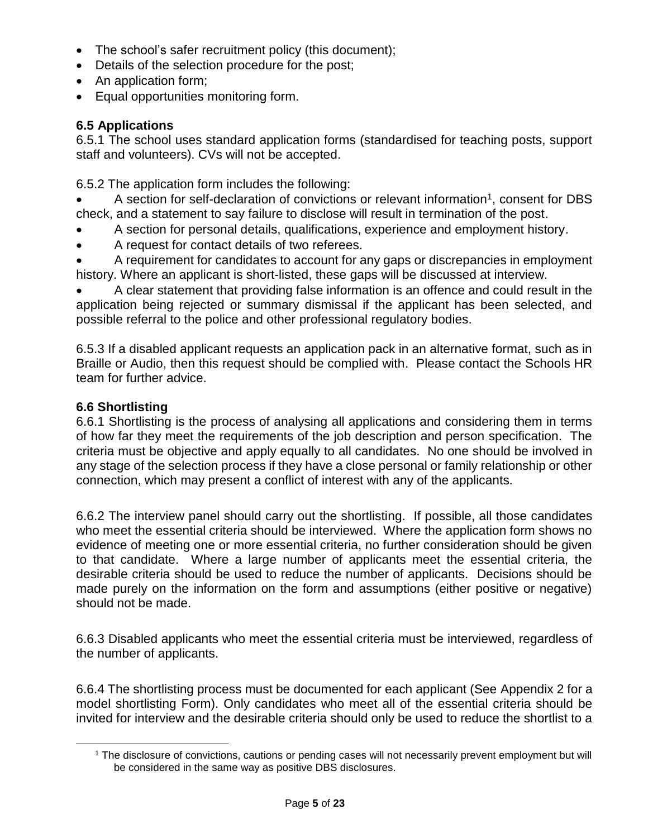- The school's safer recruitment policy (this document);
- Details of the selection procedure for the post;
- An application form;
- Equal opportunities monitoring form.

### <span id="page-4-0"></span>**6.5 Applications**

6.5.1 The school uses standard application forms (standardised for teaching posts, support staff and volunteers). CVs will not be accepted.

6.5.2 The application form includes the following:

- $\bullet$  A section for self-declaration of convictions or relevant information<sup>1</sup>, consent for DBS check, and a statement to say failure to disclose will result in termination of the post.
- A section for personal details, qualifications, experience and employment history.
- A request for contact details of two referees.

 A requirement for candidates to account for any gaps or discrepancies in employment history. Where an applicant is short-listed, these gaps will be discussed at interview.

 A clear statement that providing false information is an offence and could result in the application being rejected or summary dismissal if the applicant has been selected, and possible referral to the police and other professional regulatory bodies.

6.5.3 If a disabled applicant requests an application pack in an alternative format, such as in Braille or Audio, then this request should be complied with. Please contact the Schools HR team for further advice.

### <span id="page-4-1"></span>**6.6 Shortlisting**

6.6.1 Shortlisting is the process of analysing all applications and considering them in terms of how far they meet the requirements of the job description and person specification. The criteria must be objective and apply equally to all candidates. No one should be involved in any stage of the selection process if they have a close personal or family relationship or other connection, which may present a conflict of interest with any of the applicants.

6.6.2 The interview panel should carry out the shortlisting. If possible, all those candidates who meet the essential criteria should be interviewed. Where the application form shows no evidence of meeting one or more essential criteria, no further consideration should be given to that candidate. Where a large number of applicants meet the essential criteria, the desirable criteria should be used to reduce the number of applicants. Decisions should be made purely on the information on the form and assumptions (either positive or negative) should not be made.

6.6.3 Disabled applicants who meet the essential criteria must be interviewed, regardless of the number of applicants.

6.6.4 The shortlisting process must be documented for each applicant (See Appendix 2 for a model shortlisting Form). Only candidates who meet all of the essential criteria should be invited for interview and the desirable criteria should only be used to reduce the shortlist to a

<sup>1</sup> The disclosure of convictions, cautions or pending cases will not necessarily prevent employment but will be considered in the same way as positive DBS disclosures.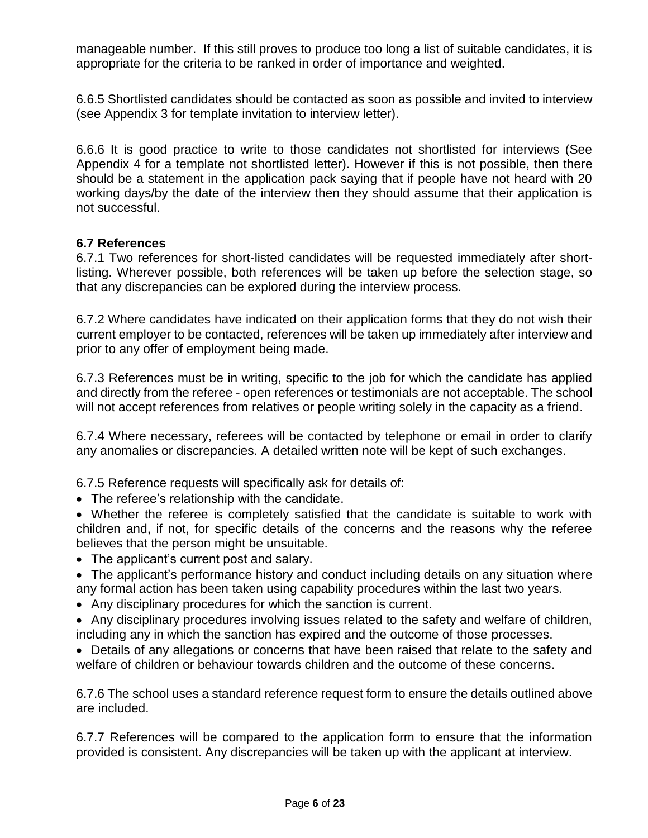manageable number. If this still proves to produce too long a list of suitable candidates, it is appropriate for the criteria to be ranked in order of importance and weighted.

6.6.5 Shortlisted candidates should be contacted as soon as possible and invited to interview (see Appendix 3 for template invitation to interview letter).

6.6.6 It is good practice to write to those candidates not shortlisted for interviews (See Appendix 4 for a template not shortlisted letter). However if this is not possible, then there should be a statement in the application pack saying that if people have not heard with 20 working days/by the date of the interview then they should assume that their application is not successful.

#### <span id="page-5-0"></span>**6.7 References**

6.7.1 Two references for short-listed candidates will be requested immediately after shortlisting. Wherever possible, both references will be taken up before the selection stage, so that any discrepancies can be explored during the interview process.

6.7.2 Where candidates have indicated on their application forms that they do not wish their current employer to be contacted, references will be taken up immediately after interview and prior to any offer of employment being made.

6.7.3 References must be in writing, specific to the job for which the candidate has applied and directly from the referee - open references or testimonials are not acceptable. The school will not accept references from relatives or people writing solely in the capacity as a friend.

6.7.4 Where necessary, referees will be contacted by telephone or email in order to clarify any anomalies or discrepancies. A detailed written note will be kept of such exchanges.

6.7.5 Reference requests will specifically ask for details of:

- The referee's relationship with the candidate.
- Whether the referee is completely satisfied that the candidate is suitable to work with children and, if not, for specific details of the concerns and the reasons why the referee believes that the person might be unsuitable.
- The applicant's current post and salary.
- The applicant's performance history and conduct including details on any situation where any formal action has been taken using capability procedures within the last two years.
- Any disciplinary procedures for which the sanction is current.
- Any disciplinary procedures involving issues related to the safety and welfare of children, including any in which the sanction has expired and the outcome of those processes.

 Details of any allegations or concerns that have been raised that relate to the safety and welfare of children or behaviour towards children and the outcome of these concerns.

6.7.6 The school uses a standard reference request form to ensure the details outlined above are included.

6.7.7 References will be compared to the application form to ensure that the information provided is consistent. Any discrepancies will be taken up with the applicant at interview.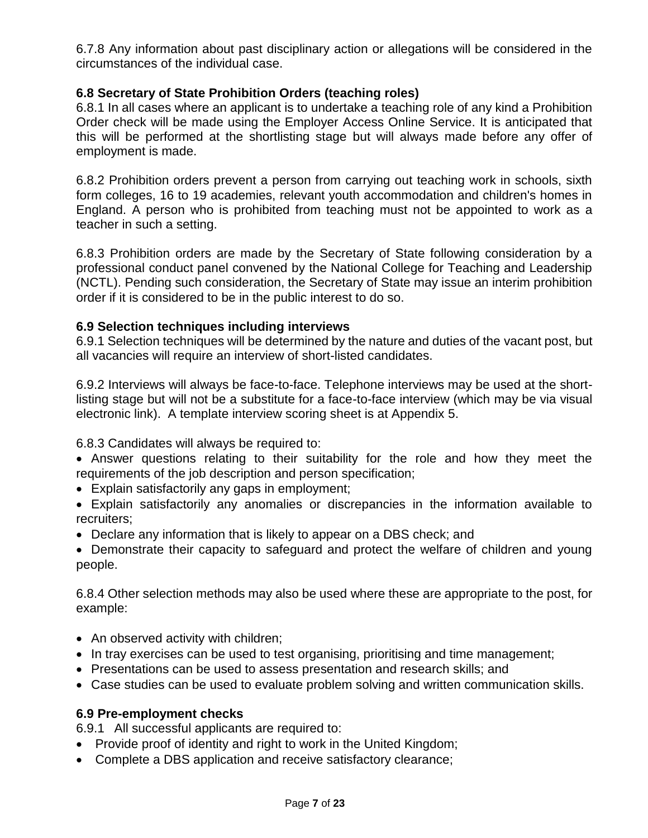6.7.8 Any information about past disciplinary action or allegations will be considered in the circumstances of the individual case.

### **6.8 Secretary of State Prohibition Orders (teaching roles)**

6.8.1 In all cases where an applicant is to undertake a teaching role of any kind a Prohibition Order check will be made using the Employer Access Online Service. It is anticipated that this will be performed at the shortlisting stage but will always made before any offer of employment is made.

6.8.2 Prohibition orders prevent a person from carrying out teaching work in schools, sixth form colleges, 16 to 19 academies, relevant youth accommodation and children's homes in England. A person who is prohibited from teaching must not be appointed to work as a teacher in such a setting.

6.8.3 Prohibition orders are made by the Secretary of State following consideration by a professional conduct panel convened by the National College for Teaching and Leadership (NCTL). Pending such consideration, the Secretary of State may issue an interim prohibition order if it is considered to be in the public interest to do so.

#### <span id="page-6-0"></span>**6.9 Selection techniques including interviews**

6.9.1 Selection techniques will be determined by the nature and duties of the vacant post, but all vacancies will require an interview of short-listed candidates.

6.9.2 Interviews will always be face-to-face. Telephone interviews may be used at the shortlisting stage but will not be a substitute for a face-to-face interview (which may be via visual electronic link). A template interview scoring sheet is at Appendix 5.

6.8.3 Candidates will always be required to:

 Answer questions relating to their suitability for the role and how they meet the requirements of the job description and person specification;

- Explain satisfactorily any gaps in employment;
- Explain satisfactorily any anomalies or discrepancies in the information available to recruiters;
- Declare any information that is likely to appear on a DBS check; and

• Demonstrate their capacity to safeguard and protect the welfare of children and young people.

6.8.4 Other selection methods may also be used where these are appropriate to the post, for example:

- An observed activity with children;
- In tray exercises can be used to test organising, prioritising and time management;
- Presentations can be used to assess presentation and research skills; and
- Case studies can be used to evaluate problem solving and written communication skills.

#### <span id="page-6-1"></span>**6.9 Pre-employment checks**

6.9.1 All successful applicants are required to:

- Provide proof of identity and right to work in the United Kingdom;
- Complete a DBS application and receive satisfactory clearance;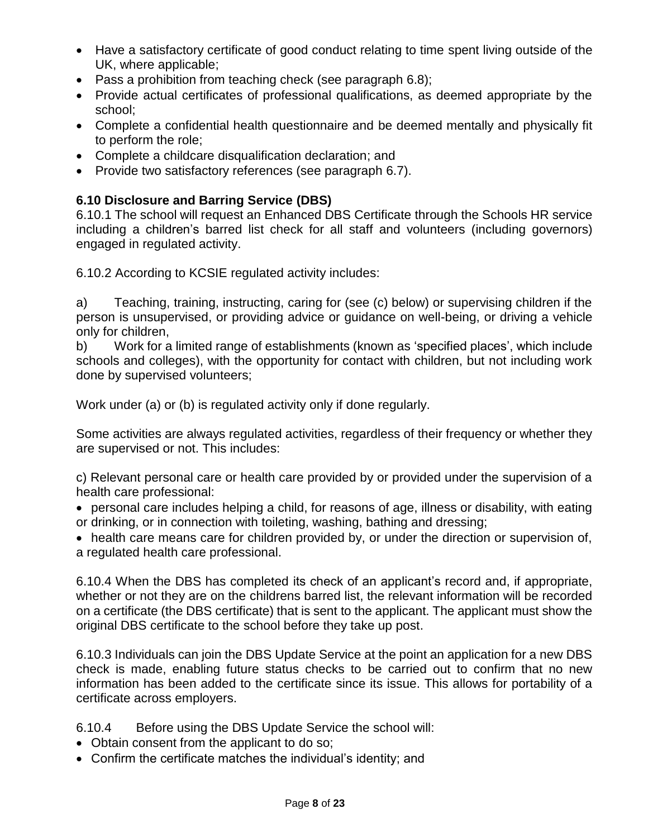- Have a satisfactory certificate of good conduct relating to time spent living outside of the UK, where applicable;
- Pass a prohibition from teaching check (see paragraph 6.8);
- Provide actual certificates of professional qualifications, as deemed appropriate by the school;
- Complete a confidential health questionnaire and be deemed mentally and physically fit to perform the role;
- Complete a childcare disqualification declaration; and
- Provide two satisfactory references (see paragraph 6.7).

### <span id="page-7-0"></span>**6.10 Disclosure and Barring Service (DBS)**

6.10.1 The school will request an Enhanced DBS Certificate through the Schools HR service including a children's barred list check for all staff and volunteers (including governors) engaged in regulated activity.

6.10.2 According to KCSIE regulated activity includes:

a) Teaching, training, instructing, caring for (see (c) below) or supervising children if the person is unsupervised, or providing advice or guidance on well-being, or driving a vehicle only for children,

b) Work for a limited range of establishments (known as 'specified places', which include schools and colleges), with the opportunity for contact with children, but not including work done by supervised volunteers;

Work under (a) or (b) is regulated activity only if done regularly.

Some activities are always regulated activities, regardless of their frequency or whether they are supervised or not. This includes:

c) Relevant personal care or health care provided by or provided under the supervision of a health care professional:

 personal care includes helping a child, for reasons of age, illness or disability, with eating or drinking, or in connection with toileting, washing, bathing and dressing;

• health care means care for children provided by, or under the direction or supervision of, a regulated health care professional.

6.10.4 When the DBS has completed its check of an applicant's record and, if appropriate, whether or not they are on the childrens barred list, the relevant information will be recorded on a certificate (the DBS certificate) that is sent to the applicant. The applicant must show the original DBS certificate to the school before they take up post.

6.10.3 Individuals can join the DBS Update Service at the point an application for a new DBS check is made, enabling future status checks to be carried out to confirm that no new information has been added to the certificate since its issue. This allows for portability of a certificate across employers.

6.10.4 Before using the DBS Update Service the school will:

- Obtain consent from the applicant to do so;
- Confirm the certificate matches the individual's identity; and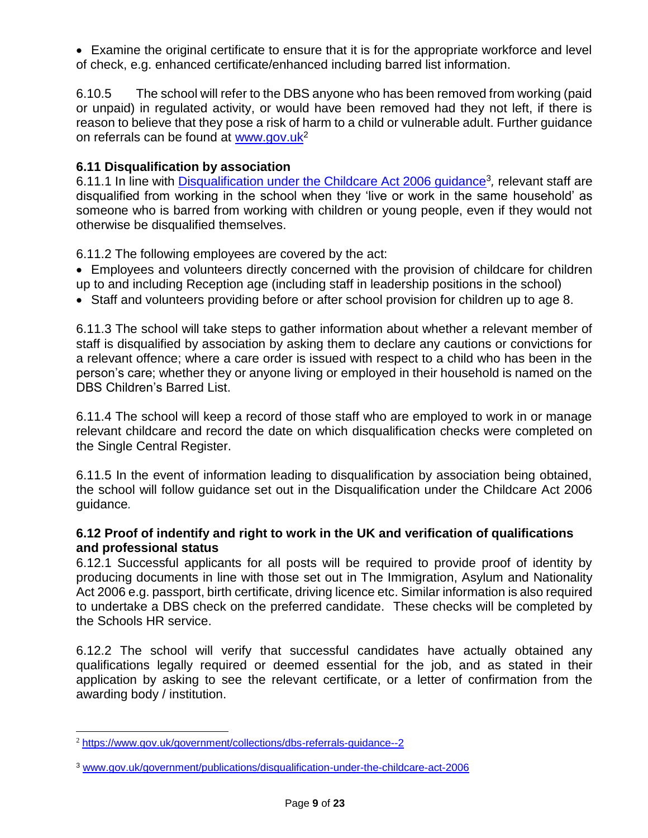Examine the original certificate to ensure that it is for the appropriate workforce and level of check, e.g. enhanced certificate/enhanced including barred list information.

6.10.5 The school will refer to the DBS anyone who has been removed from working (paid or unpaid) in regulated activity, or would have been removed had they not left, if there is reason to believe that they pose a risk of harm to a child or vulnerable adult. Further guidance on referrals can be found at [www.gov.uk](https://www.gov.uk/government/collections/dbs-referrals-guidance--2)<sup>2</sup>

### <span id="page-8-0"></span>**6.11 Disqualification by association**

6.11.1 In line with **Disqualification under the Childcare Act 2006 guidance**<sup>3</sup>, relevant staff are disqualified from working in the school when they 'live or work in the same household' as someone who is barred from working with children or young people, even if they would not otherwise be disqualified themselves.

6.11.2 The following employees are covered by the act:

- Employees and volunteers directly concerned with the provision of childcare for children up to and including Reception age (including staff in leadership positions in the school)
- Staff and volunteers providing before or after school provision for children up to age 8.

6.11.3 The school will take steps to gather information about whether a relevant member of staff is disqualified by association by asking them to declare any cautions or convictions for a relevant offence; where a care order is issued with respect to a child who has been in the person's care; whether they or anyone living or employed in their household is named on the DBS Children's Barred List.

6.11.4 The school will keep a record of those staff who are employed to work in or manage relevant childcare and record the date on which disqualification checks were completed on the Single Central Register.

6.11.5 In the event of information leading to disqualification by association being obtained, the school will follow guidance set out in the Disqualification under the Childcare Act 2006 guidance*.*

#### <span id="page-8-1"></span>**6.12 Proof of indentify and right to work in the UK and verification of qualifications and professional status**

6.12.1 Successful applicants for all posts will be required to provide proof of identity by producing documents in line with those set out in The Immigration, Asylum and Nationality Act 2006 e.g. passport, birth certificate, driving licence etc. Similar information is also required to undertake a DBS check on the preferred candidate. These checks will be completed by the Schools HR service.

6.12.2 The school will verify that successful candidates have actually obtained any qualifications legally required or deemed essential for the job, and as stated in their application by asking to see the relevant certificate, or a letter of confirmation from the awarding body / institution.

 $\overline{a}$ 

<sup>2</sup> <https://www.gov.uk/government/collections/dbs-referrals-guidance--2>

<sup>3</sup> [www.gov.uk/government/publications/disqualification-under-the-childcare-act-2006](http://www.gov.uk/government/publications/disqualification-under-the-childcare-act-2006)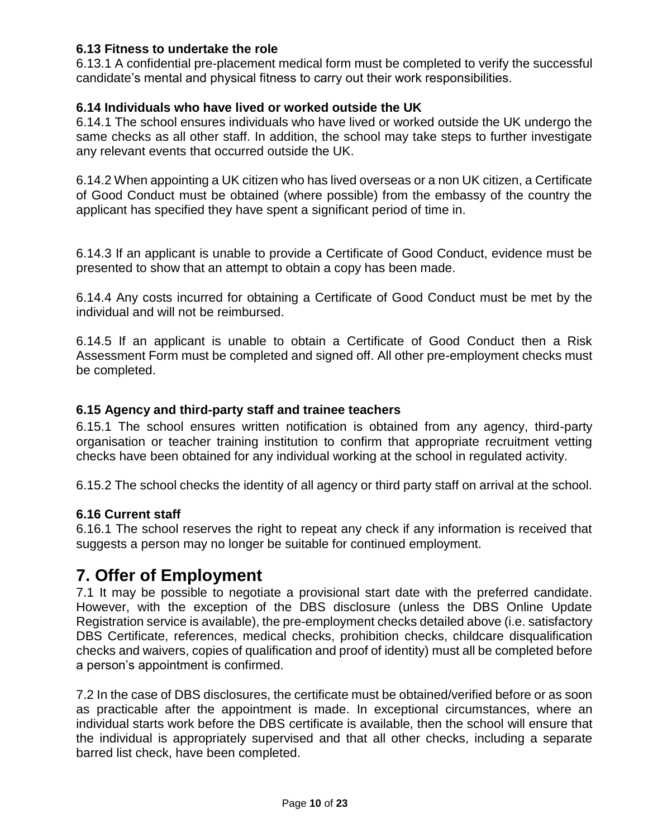### <span id="page-9-0"></span>**6.13 Fitness to undertake the role**

6.13.1 A confidential pre-placement medical form must be completed to verify the successful candidate's mental and physical fitness to carry out their work responsibilities.

#### <span id="page-9-1"></span>**6.14 Individuals who have lived or worked outside the UK**

6.14.1 The school ensures individuals who have lived or worked outside the UK undergo the same checks as all other staff. In addition, the school may take steps to further investigate any relevant events that occurred outside the UK.

6.14.2 When appointing a UK citizen who has lived overseas or a non UK citizen, a Certificate of Good Conduct must be obtained (where possible) from the embassy of the country the applicant has specified they have spent a significant period of time in.

6.14.3 If an applicant is unable to provide a Certificate of Good Conduct, evidence must be presented to show that an attempt to obtain a copy has been made.

6.14.4 Any costs incurred for obtaining a Certificate of Good Conduct must be met by the individual and will not be reimbursed.

6.14.5 If an applicant is unable to obtain a Certificate of Good Conduct then a Risk Assessment Form must be completed and signed off. All other pre-employment checks must be completed.

#### <span id="page-9-2"></span>**6.15 Agency and third-party staff and trainee teachers**

6.15.1 The school ensures written notification is obtained from any agency, third-party organisation or teacher training institution to confirm that appropriate recruitment vetting checks have been obtained for any individual working at the school in regulated activity.

6.15.2 The school checks the identity of all agency or third party staff on arrival at the school.

#### **6.16 Current staff**

6.16.1 The school reserves the right to repeat any check if any information is received that suggests a person may no longer be suitable for continued employment.

### <span id="page-9-3"></span>**7. Offer of Employment**

7.1 It may be possible to negotiate a provisional start date with the preferred candidate. However, with the exception of the DBS disclosure (unless the DBS Online Update Registration service is available), the pre-employment checks detailed above (i.e. satisfactory DBS Certificate, references, medical checks, prohibition checks, childcare disqualification checks and waivers, copies of qualification and proof of identity) must all be completed before a person's appointment is confirmed.

7.2 In the case of DBS disclosures, the certificate must be obtained/verified before or as soon as practicable after the appointment is made. In exceptional circumstances, where an individual starts work before the DBS certificate is available, then the school will ensure that the individual is appropriately supervised and that all other checks, including a separate barred list check, have been completed.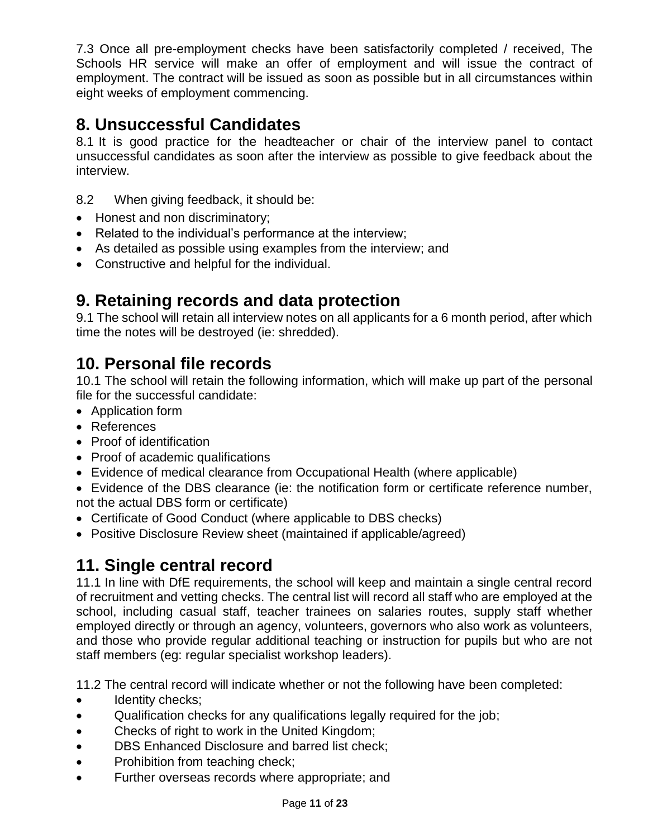7.3 Once all pre-employment checks have been satisfactorily completed / received, The Schools HR service will make an offer of employment and will issue the contract of employment. The contract will be issued as soon as possible but in all circumstances within eight weeks of employment commencing.

## <span id="page-10-0"></span>**8. Unsuccessful Candidates**

8.1 It is good practice for the headteacher or chair of the interview panel to contact unsuccessful candidates as soon after the interview as possible to give feedback about the interview.

- 8.2 When giving feedback, it should be:
- Honest and non discriminatory;
- Related to the individual's performance at the interview;
- As detailed as possible using examples from the interview; and
- Constructive and helpful for the individual.

## <span id="page-10-1"></span>**9. Retaining records and data protection**

9.1 The school will retain all interview notes on all applicants for a 6 month period, after which time the notes will be destroyed (ie: shredded).

## <span id="page-10-2"></span>**10. Personal file records**

10.1 The school will retain the following information, which will make up part of the personal file for the successful candidate:

- Application form
- References
- Proof of identification
- Proof of academic qualifications
- Evidence of medical clearance from Occupational Health (where applicable)
- Evidence of the DBS clearance (ie: the notification form or certificate reference number, not the actual DBS form or certificate)
- Certificate of Good Conduct (where applicable to DBS checks)
- Positive Disclosure Review sheet (maintained if applicable/agreed)

## <span id="page-10-3"></span>**11. Single central record**

11.1 In line with DfE requirements, the school will keep and maintain a single central record of recruitment and vetting checks. The central list will record all staff who are employed at the school, including casual staff, teacher trainees on salaries routes, supply staff whether employed directly or through an agency, volunteers, governors who also work as volunteers, and those who provide regular additional teaching or instruction for pupils but who are not staff members (eg: regular specialist workshop leaders).

11.2 The central record will indicate whether or not the following have been completed:

- Identity checks;
- Qualification checks for any qualifications legally required for the job;
- Checks of right to work in the United Kingdom;
- **•** DBS Enhanced Disclosure and barred list check;
- Prohibition from teaching check;
- Further overseas records where appropriate; and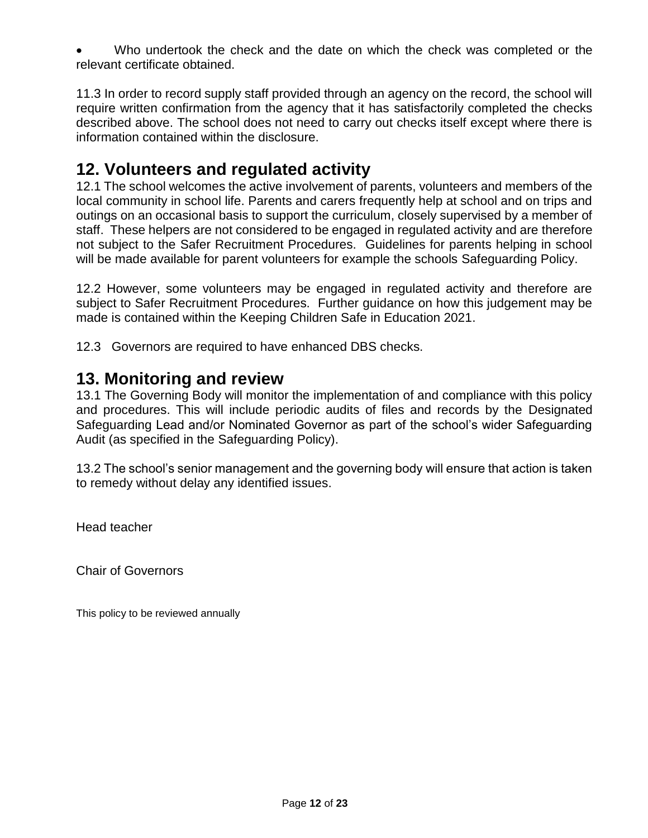Who undertook the check and the date on which the check was completed or the relevant certificate obtained.

11.3 In order to record supply staff provided through an agency on the record, the school will require written confirmation from the agency that it has satisfactorily completed the checks described above. The school does not need to carry out checks itself except where there is information contained within the disclosure.

### <span id="page-11-0"></span>**12. Volunteers and regulated activity**

12.1 The school welcomes the active involvement of parents, volunteers and members of the local community in school life. Parents and carers frequently help at school and on trips and outings on an occasional basis to support the curriculum, closely supervised by a member of staff. These helpers are not considered to be engaged in regulated activity and are therefore not subject to the Safer Recruitment Procedures. Guidelines for parents helping in school will be made available for parent volunteers for example the schools Safeguarding Policy.

12.2 However, some volunteers may be engaged in regulated activity and therefore are subject to Safer Recruitment Procedures. Further guidance on how this judgement may be made is contained within the Keeping Children Safe in Education 2021.

12.3 Governors are required to have enhanced DBS checks.

### <span id="page-11-1"></span>**13. Monitoring and review**

13.1 The Governing Body will monitor the implementation of and compliance with this policy and procedures. This will include periodic audits of files and records by the Designated Safeguarding Lead and/or Nominated Governor as part of the school's wider Safeguarding Audit (as specified in the Safeguarding Policy).

13.2 The school's senior management and the governing body will ensure that action is taken to remedy without delay any identified issues.

Head teacher

Chair of Governors

This policy to be reviewed annually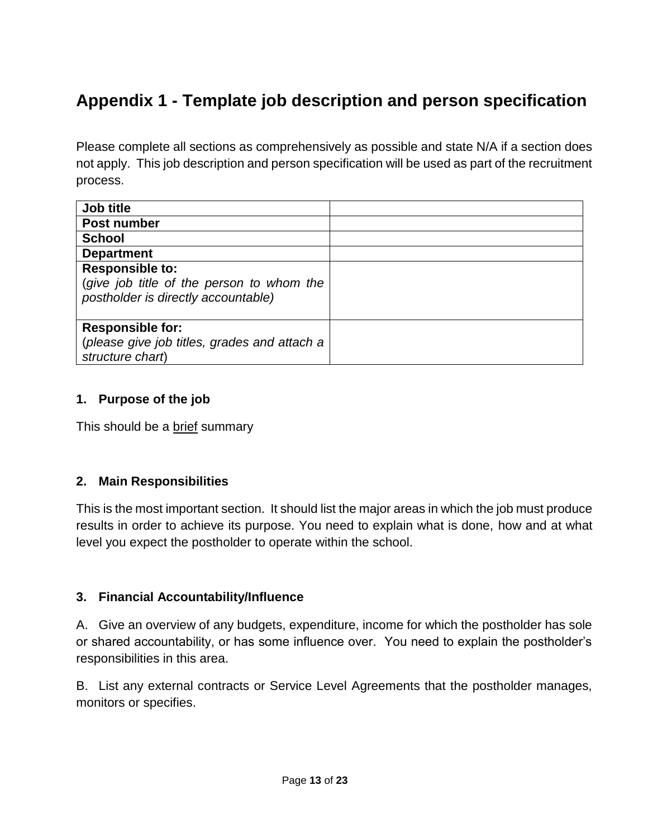# <span id="page-12-0"></span>**Appendix 1 - Template job description and person specification**

Please complete all sections as comprehensively as possible and state N/A if a section does not apply. This job description and person specification will be used as part of the recruitment process.

| Job title                                                                                                  |  |
|------------------------------------------------------------------------------------------------------------|--|
| Post number                                                                                                |  |
| <b>School</b>                                                                                              |  |
| <b>Department</b>                                                                                          |  |
| <b>Responsible to:</b><br>(give job title of the person to whom the<br>postholder is directly accountable) |  |
| <b>Responsible for:</b><br>(please give job titles, grades and attach a<br>structure chart)                |  |

### **1. Purpose of the job**

This should be a brief summary

#### **2. Main Responsibilities**

This is the most important section. It should list the major areas in which the job must produce results in order to achieve its purpose. You need to explain what is done, how and at what level you expect the postholder to operate within the school.

#### **3. Financial Accountability/Influence**

A. Give an overview of any budgets, expenditure, income for which the postholder has sole or shared accountability, or has some influence over. You need to explain the postholder's responsibilities in this area.

B. List any external contracts or Service Level Agreements that the postholder manages, monitors or specifies.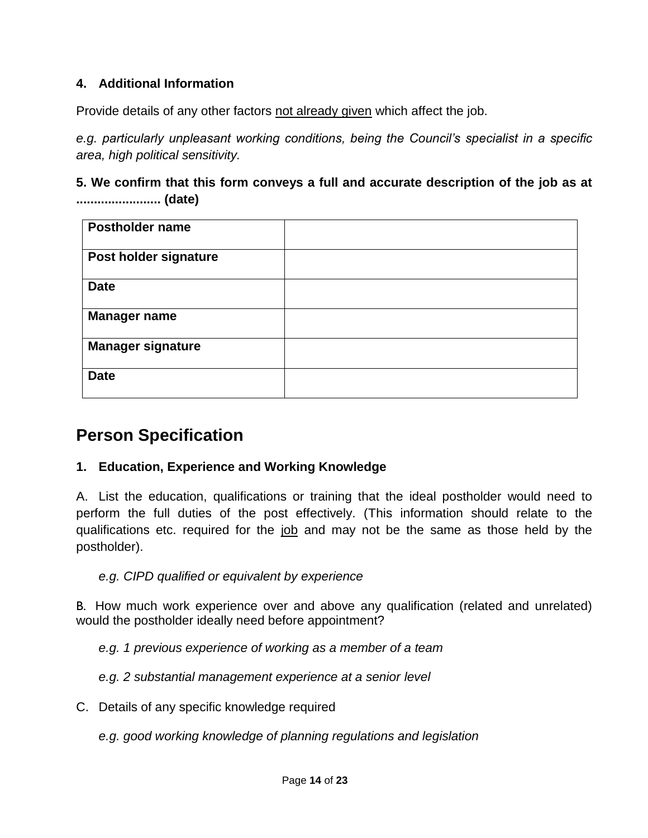### **4. Additional Information**

Provide details of any other factors not already given which affect the job.

*e.g. particularly unpleasant working conditions, being the Council's specialist in a specific area, high political sensitivity.*

### **5. We confirm that this form conveys a full and accurate description of the job as at ........................ (date)**

| Postholder name          |  |
|--------------------------|--|
| Post holder signature    |  |
| <b>Date</b>              |  |
| <b>Manager name</b>      |  |
| <b>Manager signature</b> |  |
| <b>Date</b>              |  |

## **Person Specification**

### **1. Education, Experience and Working Knowledge**

A. List the education, qualifications or training that the ideal postholder would need to perform the full duties of the post effectively. (This information should relate to the qualifications etc. required for the job and may not be the same as those held by the postholder).

*e.g. CIPD qualified or equivalent by experience*

B. How much work experience over and above any qualification (related and unrelated) would the postholder ideally need before appointment?

*e.g. 1 previous experience of working as a member of a team*

*e.g. 2 substantial management experience at a senior level*

C. Details of any specific knowledge required

*e.g. good working knowledge of planning regulations and legislation*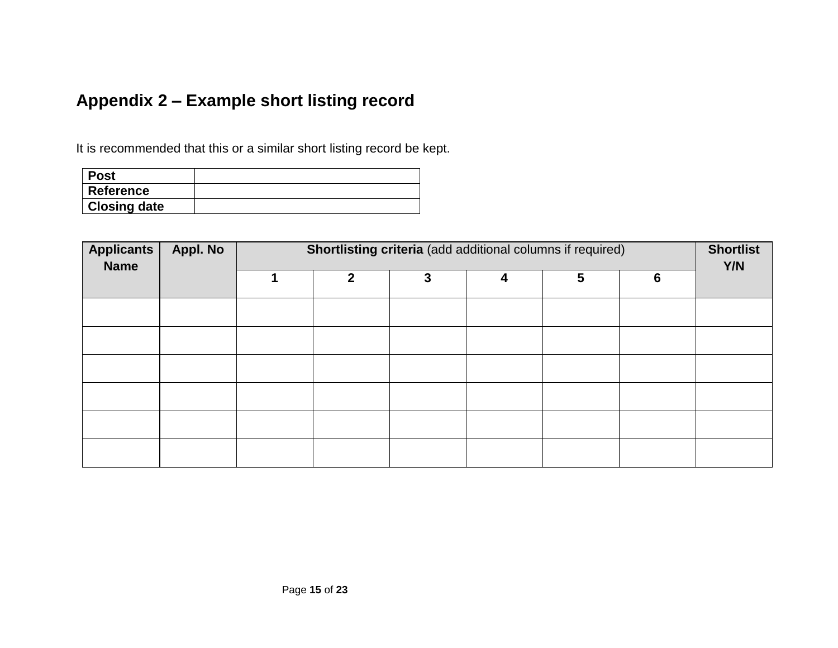# **Appendix 2 – Example short listing record**

It is recommended that this or a similar short listing record be kept.

| ∣ Post              |  |
|---------------------|--|
| Reference           |  |
| <b>Closing date</b> |  |

<span id="page-14-0"></span>

| <b>Applicants</b><br><b>Name</b> | Appl. No |              | Shortlisting criteria (add additional columns if required) |   |   |                 | <b>Shortlist</b><br>Y/N |
|----------------------------------|----------|--------------|------------------------------------------------------------|---|---|-----------------|-------------------------|
|                                  |          | $\mathbf{2}$ | 3                                                          | 4 | 5 | $6\phantom{1}6$ |                         |
|                                  |          |              |                                                            |   |   |                 |                         |
|                                  |          |              |                                                            |   |   |                 |                         |
|                                  |          |              |                                                            |   |   |                 |                         |
|                                  |          |              |                                                            |   |   |                 |                         |
|                                  |          |              |                                                            |   |   |                 |                         |
|                                  |          |              |                                                            |   |   |                 |                         |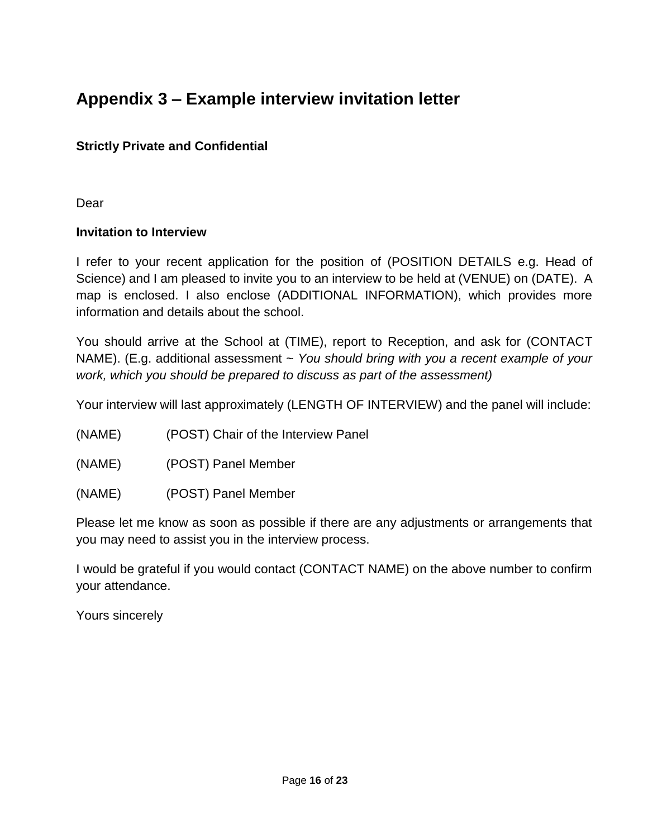# <span id="page-15-0"></span>**Appendix 3 – Example interview invitation letter**

### **Strictly Private and Confidential**

Dear

### **Invitation to Interview**

I refer to your recent application for the position of (POSITION DETAILS e.g. Head of Science) and I am pleased to invite you to an interview to be held at (VENUE) on (DATE).A map is enclosed. I also enclose (ADDITIONAL INFORMATION), which provides more information and details about the school.

You should arrive at the School at (TIME), report to Reception, and ask for (CONTACT NAME). (E.g. additional assessment ~ *You should bring with you a recent example of your work, which you should be prepared to discuss as part of the assessment)*

Your interview will last approximately (LENGTH OF INTERVIEW) and the panel will include:

- (NAME) (POST) Chair of the Interview Panel
- (NAME) (POST) Panel Member
- (NAME) (POST) Panel Member

Please let me know as soon as possible if there are any adjustments or arrangements that you may need to assist you in the interview process.

I would be grateful if you would contact (CONTACT NAME) on the above number to confirm your attendance.

Yours sincerely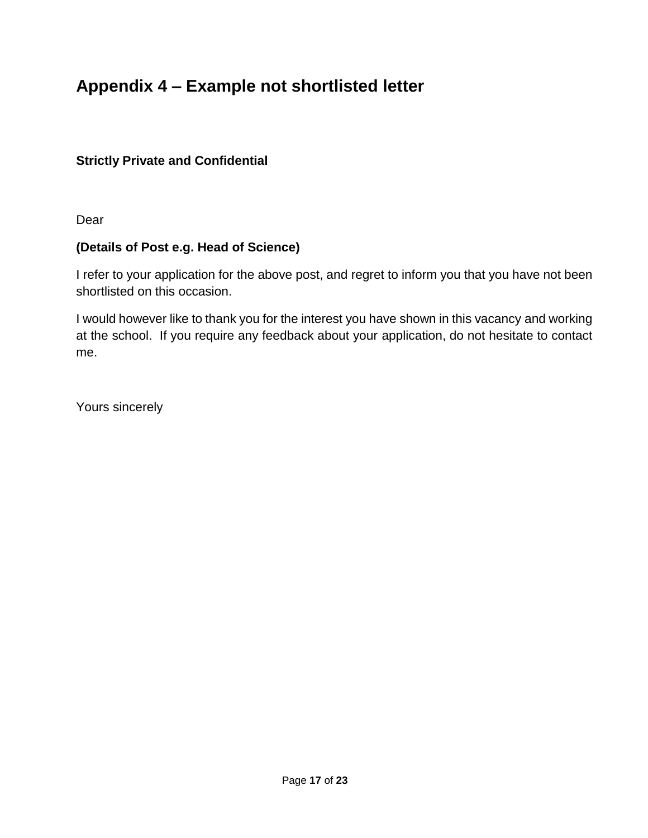# <span id="page-16-0"></span>**Appendix 4 – Example not shortlisted letter**

### **Strictly Private and Confidential**

Dear

### **(Details of Post e.g. Head of Science)**

I refer to your application for the above post, and regret to inform you that you have not been shortlisted on this occasion.

I would however like to thank you for the interest you have shown in this vacancy and working at the school. If you require any feedback about your application, do not hesitate to contact me.

Yours sincerely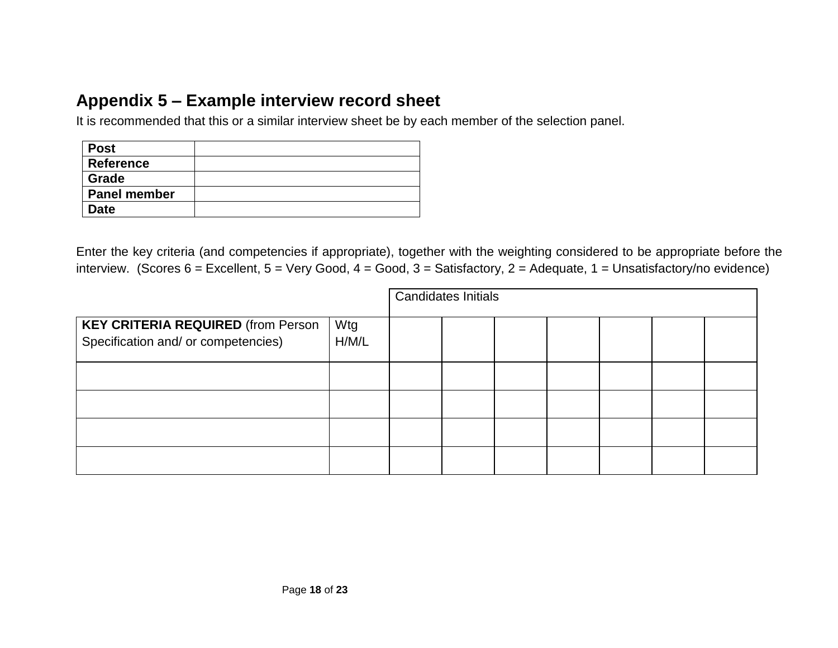## **Appendix 5 – Example interview record sheet**

It is recommended that this or a similar interview sheet be by each member of the selection panel.

| <b>Post</b>         |  |
|---------------------|--|
| Reference           |  |
| <b>Grade</b>        |  |
| <b>Panel member</b> |  |
| <b>Date</b>         |  |

<span id="page-17-0"></span>Enter the key criteria (and competencies if appropriate), together with the weighting considered to be appropriate before the interview. (Scores  $6$  = Excellent,  $5$  = Very Good,  $4$  = Good,  $3$  = Satisfactory,  $2$  = Adequate,  $1$  = Unsatisfactory/no evidence)

|                                                                                  |              | <b>Candidates Initials</b> |  |  |  |  |  |  |
|----------------------------------------------------------------------------------|--------------|----------------------------|--|--|--|--|--|--|
| <b>KEY CRITERIA REQUIRED (from Person</b><br>Specification and/ or competencies) | Wtg<br>H/M/L |                            |  |  |  |  |  |  |
|                                                                                  |              |                            |  |  |  |  |  |  |
|                                                                                  |              |                            |  |  |  |  |  |  |
|                                                                                  |              |                            |  |  |  |  |  |  |
|                                                                                  |              |                            |  |  |  |  |  |  |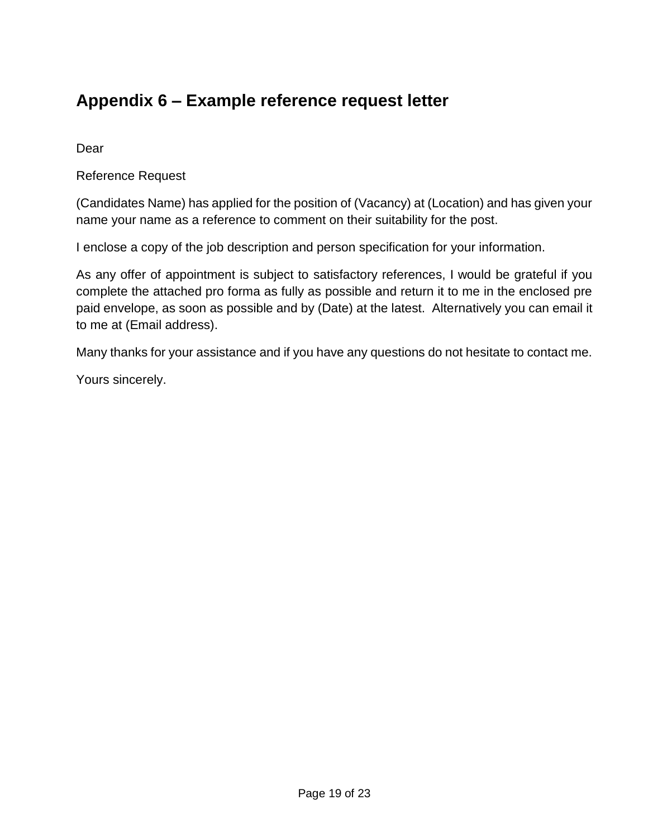# <span id="page-18-0"></span>**Appendix 6 – Example reference request letter**

Dear

Reference Request

(Candidates Name) has applied for the position of (Vacancy) at (Location) and has given your name your name as a reference to comment on their suitability for the post.

I enclose a copy of the job description and person specification for your information.

As any offer of appointment is subject to satisfactory references, I would be grateful if you complete the attached pro forma as fully as possible and return it to me in the enclosed pre paid envelope, as soon as possible and by (Date) at the latest. Alternatively you can email it to me at (Email address).

Many thanks for your assistance and if you have any questions do not hesitate to contact me.

Yours sincerely.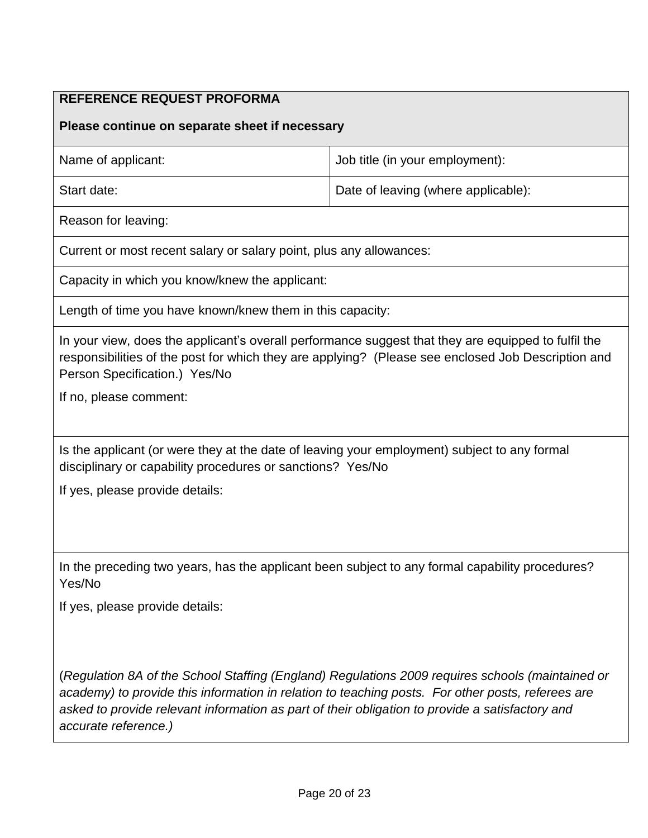### **REFERENCE REQUEST PROFORMA**

#### **Please continue on separate sheet if necessary**

| Name of applicant: | Job title (in your employment):     |
|--------------------|-------------------------------------|
| Start date:        | Date of leaving (where applicable): |

Reason for leaving:

Current or most recent salary or salary point, plus any allowances:

Capacity in which you know/knew the applicant:

Length of time you have known/knew them in this capacity:

In your view, does the applicant's overall performance suggest that they are equipped to fulfil the responsibilities of the post for which they are applying? (Please see enclosed Job Description and Person Specification.) Yes/No

If no, please comment:

Is the applicant (or were they at the date of leaving your employment) subject to any formal disciplinary or capability procedures or sanctions? Yes/No

If yes, please provide details:

In the preceding two years, has the applicant been subject to any formal capability procedures? Yes/No

If yes, please provide details:

(*Regulation 8A of the School Staffing (England) Regulations 2009 requires schools (maintained or academy) to provide this information in relation to teaching posts. For other posts, referees are asked to provide relevant information as part of their obligation to provide a satisfactory and accurate reference.)*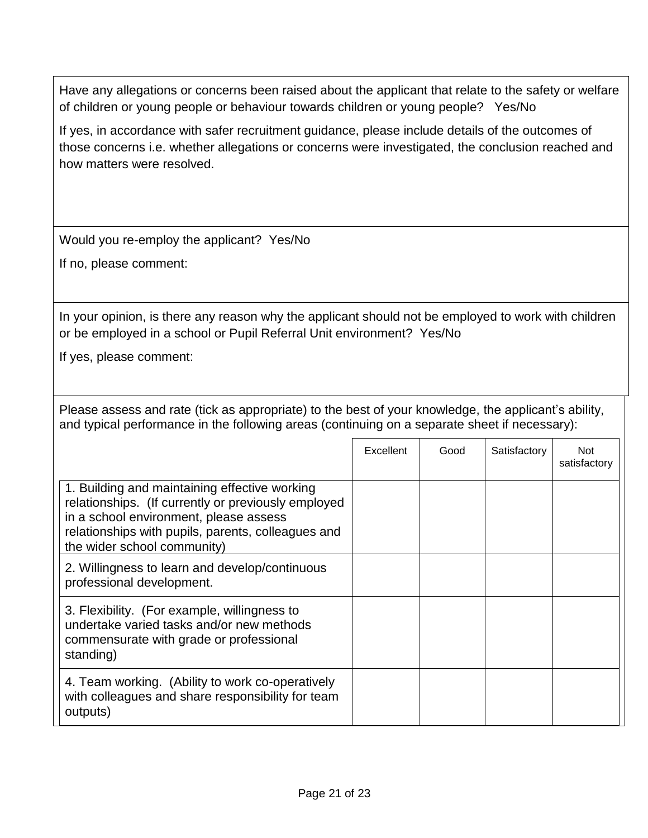Have any allegations or concerns been raised about the applicant that relate to the safety or welfare of children or young people or behaviour towards children or young people? Yes/No

If yes, in accordance with safer recruitment guidance, please include details of the outcomes of those concerns i.e. whether allegations or concerns were investigated, the conclusion reached and how matters were resolved.

Would you re-employ the applicant? Yes/No

If no, please comment:

In your opinion, is there any reason why the applicant should not be employed to work with children or be employed in a school or Pupil Referral Unit environment? Yes/No

If yes, please comment:

Please assess and rate (tick as appropriate) to the best of your knowledge, the applicant's ability, and typical performance in the following areas (continuing on a separate sheet if necessary):

|                                                                                                                                                                                                                                     | Excellent | Good | Satisfactory | Not<br>satisfactory |
|-------------------------------------------------------------------------------------------------------------------------------------------------------------------------------------------------------------------------------------|-----------|------|--------------|---------------------|
| 1. Building and maintaining effective working<br>relationships. (If currently or previously employed<br>in a school environment, please assess<br>relationships with pupils, parents, colleagues and<br>the wider school community) |           |      |              |                     |
| 2. Willingness to learn and develop/continuous<br>professional development.                                                                                                                                                         |           |      |              |                     |
| 3. Flexibility. (For example, willingness to<br>undertake varied tasks and/or new methods<br>commensurate with grade or professional<br>standing)                                                                                   |           |      |              |                     |
| 4. Team working. (Ability to work co-operatively<br>with colleagues and share responsibility for team<br>outputs)                                                                                                                   |           |      |              |                     |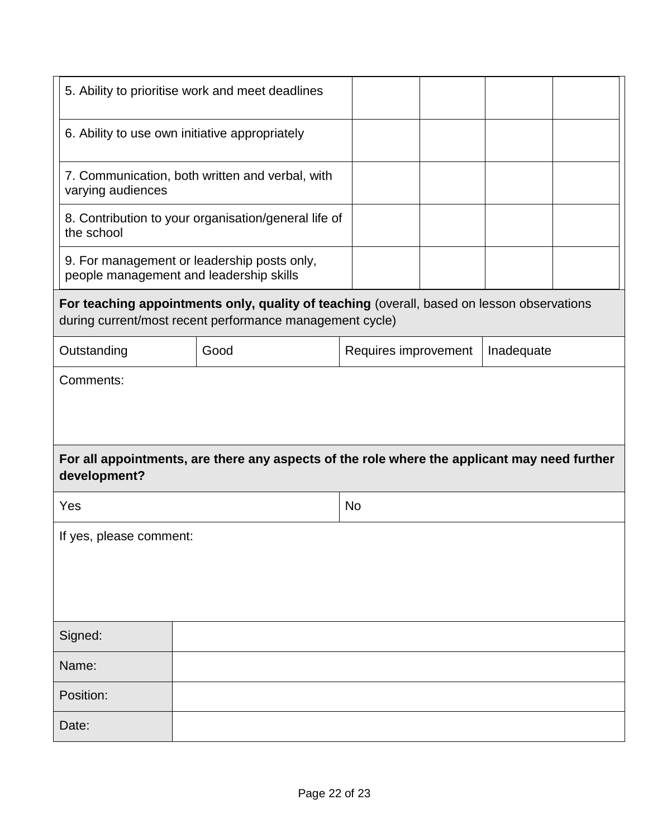| 5. Ability to prioritise work and meet deadlines |                                                                                                                                                        |  |                      |  |            |  |  |  |  |
|--------------------------------------------------|--------------------------------------------------------------------------------------------------------------------------------------------------------|--|----------------------|--|------------|--|--|--|--|
|                                                  | 6. Ability to use own initiative appropriately                                                                                                         |  |                      |  |            |  |  |  |  |
| varying audiences                                | 7. Communication, both written and verbal, with                                                                                                        |  |                      |  |            |  |  |  |  |
| the school                                       | 8. Contribution to your organisation/general life of                                                                                                   |  |                      |  |            |  |  |  |  |
|                                                  | 9. For management or leadership posts only,<br>people management and leadership skills                                                                 |  |                      |  |            |  |  |  |  |
|                                                  | For teaching appointments only, quality of teaching (overall, based on lesson observations<br>during current/most recent performance management cycle) |  |                      |  |            |  |  |  |  |
| Outstanding                                      | Good                                                                                                                                                   |  | Requires improvement |  | Inadequate |  |  |  |  |
| Comments:                                        |                                                                                                                                                        |  |                      |  |            |  |  |  |  |
| development?                                     | For all appointments, are there any aspects of the role where the applicant may need further                                                           |  |                      |  |            |  |  |  |  |
| Yes                                              |                                                                                                                                                        |  | No                   |  |            |  |  |  |  |
| If yes, please comment:                          |                                                                                                                                                        |  |                      |  |            |  |  |  |  |
|                                                  |                                                                                                                                                        |  |                      |  |            |  |  |  |  |
|                                                  |                                                                                                                                                        |  |                      |  |            |  |  |  |  |
| Signed:                                          |                                                                                                                                                        |  |                      |  |            |  |  |  |  |
| Name:                                            |                                                                                                                                                        |  |                      |  |            |  |  |  |  |
| Position:                                        |                                                                                                                                                        |  |                      |  |            |  |  |  |  |
| Date:                                            |                                                                                                                                                        |  |                      |  |            |  |  |  |  |